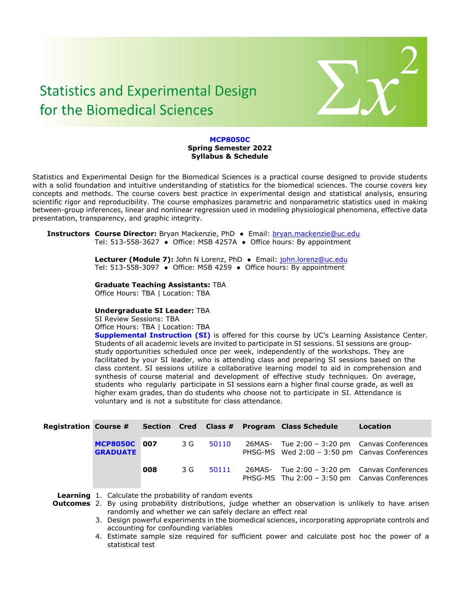

# **Statistics and Experimental Design** for the Biomedical Sciences

## **MCP8050C Spring Semester 2022 Syllabus & Schedule**

Statistics and Experimental Design for the Biomedical Sciences is a practical course designed to provide students with a solid foundation and intuitive understanding of statistics for the biomedical sciences. The course covers key concepts and methods. The course covers best practice in experimental design and statistical analysis, ensuring scientific rigor and reproducibility. The course emphasizes parametric and nonparametric statistics used in making between-group inferences, linear and nonlinear regression used in modeling physiological phenomena, effective data presentation, transparency, and graphic integrity.

**Instructors Course Director:** Bryan Mackenzie, PhD ● Email: [bryan.mackenzie@uc.edu](mailto:bryan.mackenzie@uc.edu) Tel: 513-558-3627 ● Office: MSB 4257A ● Office hours: By appointment

> **Lecturer (Module 7):** John N Lorenz, PhD ● Email: [john.lorenz@uc.edu](mailto:john.lorenz@uc.edu) Tel: 513-558-3097 ● Office: MSB 4259 ● Office hours: By appointment

**Graduate Teaching Assistants:** TBA Office Hours: TBA | Location: TBA

#### **Undergraduate SI Leader:** TBA

SI Review Sessions: TBA

Office Hours: TBA | Location: TBA

**Supplemental Instruction (SI)** is offered for this course by UC's Learning Assistance Center. Students of all academic levels are invited to participate in SI sessions. SI sessions are groupstudy opportunities scheduled once per week, independently of the workshops. They are facilitated by your SI leader, who is attending class and preparing SI sessions based on the class content. SI sessions utilize a collaborative learning model to aid in comprehension and synthesis of course material and development of effective study techniques. On average, students who regularly participate in SI sessions earn a higher final course grade, as well as higher exam grades, than do students who choose not to participate in SI. Attendance is voluntary and is not a substitute for class attendance.

|                                        |     |       |       | Registration Course # Section Cred Class # Program Class Schedule                                | Location |
|----------------------------------------|-----|-------|-------|--------------------------------------------------------------------------------------------------|----------|
| <b>MCP8050C 007</b><br><b>GRADUATE</b> |     | 3 G   | 50110 | $26MAS$ - Tue 2:00 – 3:20 pm Canvas Conferences<br>PHSG-MS Wed 2:00 - 3:50 pm Canvas Conferences |          |
|                                        | 008 | 3 G I | 50111 | 26MAS- Tue 2:00 - 3:20 pm Canvas Conferences<br>PHSG-MS Thu 2:00 - 3:50 pm Canvas Conferences    |          |

**Learning**  1. Calculate the probability of random events

- **Outcomes** 2. By using probability distributions, judge whether an observation is unlikely to have arisen randomly and whether we can safely declare an effect real
	- 3. Design powerful experiments in the biomedical sciences, incorporating appropriate controls and accounting for confounding variables
	- 4. Estimate sample size required for sufficient power and calculate post hoc the power of a statistical test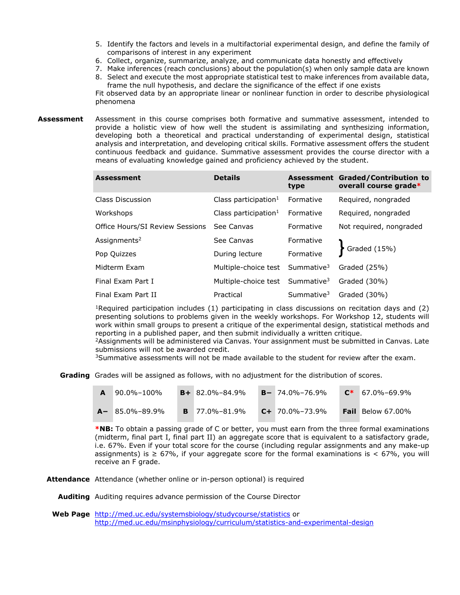- 5. Identify the factors and levels in a multifactorial experimental design, and define the family of comparisons of interest in any experiment
- 6. Collect, organize, summarize, analyze, and communicate data honestly and effectively
- 7. Make inferences (reach conclusions) about the population(s) when only sample data are known 8. Select and execute the most appropriate statistical test to make inferences from available data,

frame the null hypothesis, and declare the significance of the effect if one exists Fit observed data by an appropriate linear or nonlinear function in order to describe physiological phenomena

**Assessment** Assessment in this course comprises both formative and summative assessment, intended to provide a holistic view of how well the student is assimilating and synthesizing information, developing both a theoretical and practical understanding of experimental design, statistical analysis and interpretation, and developing critical skills. Formative assessment offers the student continuous feedback and guidance. Summative assessment provides the course director with a means of evaluating knowledge gained and proficiency achieved by the student.

| <b>Assessment</b>               | <b>Details</b>                              | type                   | Assessment Graded/Contribution to<br>overall course grade* |
|---------------------------------|---------------------------------------------|------------------------|------------------------------------------------------------|
| Class Discussion                | Class participation $1$                     | Formative              | Required, nongraded                                        |
| Workshops                       | Class participation $1$                     | Formative              | Required, nongraded                                        |
| Office Hours/SI Review Sessions | See Canvas                                  | Formative              | Not required, nongraded                                    |
| Assignments <sup>2</sup>        | See Canvas                                  | Formative              |                                                            |
| Pop Quizzes                     | During lecture                              | Formative              | Graded (15%)                                               |
| Midterm Exam                    | Multiple-choice test Summative <sup>3</sup> |                        | Graded (25%)                                               |
| Final Exam Part I               | Multiple-choice test Summative <sup>3</sup> |                        | Graded (30%)                                               |
| Final Exam Part II              | Practical                                   | Summative <sup>3</sup> | Graded (30%)                                               |

<sup>1</sup>Required participation includes (1) participating in class discussions on recitation days and (2) presenting solutions to problems given in the weekly workshops. For Workshop 12, students will work within small groups to present a critique of the experimental design, statistical methods and reporting in a published paper, and then submit individually a written critique.

<sup>2</sup>Assignments will be administered via Canvas. Your assignment must be submitted in Canvas. Late submissions will not be awarded credit.

<sup>3</sup>Summative assessments will not be made available to the student for review after the exam.

**Grading** Grades will be assigned as follows, with no adjustment for the distribution of scores.

| $A = 90.0\% - 100\%$  | $B + 82.0\% - 84.9\%$ | $B - 74.0\% - 76.9\%$ | $C^*$ 67.0%-69.9%        |
|-----------------------|-----------------------|-----------------------|--------------------------|
| $A - 85.0\% - 89.9\%$ | $B$ 77.0%-81.9%       | $C + 70.0\% - 73.9\%$ | <b>Fail</b> Below 67.00% |

**\*NB:** To obtain a passing grade of C or better, you must earn from the three formal examinations (midterm, final part I, final part II) an aggregate score that is equivalent to a satisfactory grade, i.e. 67%. Even if your total score for the course (including regular assignments and any make-up assignments) is  $\geq 67\%$ , if your aggregate score for the formal examinations is  $\lt 67\%$ , you will receive an F grade.

**Attendance** Attendance (whether online or in-person optional) is required

- **Auditing** Auditing requires advance permission of the Course Director
- **Web Page** <http://med.uc.edu/systemsbiology/studycourse/statistics> or <http://med.uc.edu/msinphysiology/curriculum/statistics-and-experimental-design>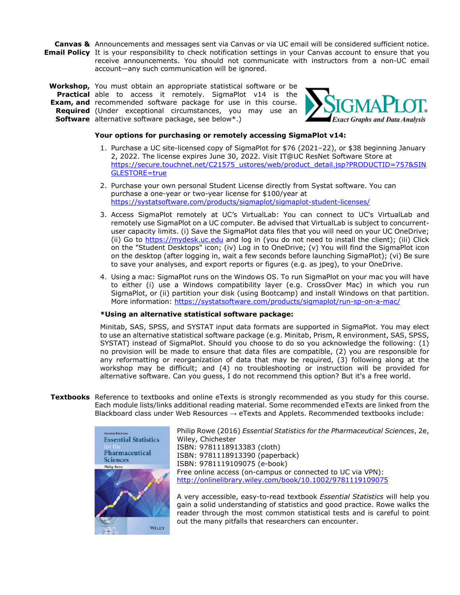**Canvas &** Announcements and messages sent via Canvas or via UC email will be considered sufficient notice. **Email Policy** It is your responsibility to check notification settings in your Canvas account to ensure that you receive announcements. You should not communicate with instructors from a non-UC email account—any such communication will be ignored.

**Workshop,**  You must obtain an appropriate statistical software or be **Practical** able to access it remotely. SigmaPlot v14 is the **Exam, and** recommended software package for use in this course. **Required**  (Under exceptional circumstances, you may use an **Software** alternative software package, see below\*.)



# **Your options for purchasing or remotely accessing SigmaPlot v14:**

- 1. Purchase a UC site-licensed copy of SigmaPlot for \$76 (2021–22), or \$38 beginning January 2, 2022. The license expires June 30, 2022. Visit IT@UC ResNet Software Store at [https://secure.touchnet.net/C21575\\_ustores/web/product\\_detail.jsp?PRODUCTID=757&SIN](https://secure.touchnet.net/C21575_ustores/web/product_detail.jsp?PRODUCTID=757&SINGLESTORE=true) [GLESTORE=true](https://secure.touchnet.net/C21575_ustores/web/product_detail.jsp?PRODUCTID=757&SINGLESTORE=true)
- 2. Purchase your own personal Student License directly from Systat software. You can purchase a one-year or two-year license for \$100/year at <https://systatsoftware.com/products/sigmaplot/sigmaplot-student-licenses/>
- 3. Access SigmaPlot remotely at UC's VirtualLab: You can connect to UC's VirtualLab and remotely use SigmaPlot on a UC computer. Be advised that VirtualLab is subject to concurrentuser capacity limits. (i) Save the SigmaPlot data files that you will need on your UC OneDrive; (ii) Go to [https://mydesk.uc.edu](https://mydesk.uc.edu/) and log in (you do not need to install the client); (iii) Click on the "Student Desktops" icon; (iv) Log in to OneDrive; (v) You will find the SigmaPlot icon on the desktop (after logging in, wait a few seconds before launching SigmaPlot); (vi) Be sure to save your analyses, and export reports or figures (e.g. as jpeg), to your OneDrive.
- 4. Using a mac: SigmaPlot runs on the Windows OS. To run SigmaPlot on your mac you will have to either (i) use a Windows compatibility layer (e.g. CrossOver Mac) in which you run SigmaPlot, or (ii) partition your disk (using Bootcamp) and install Windows on that partition. More information: <https://systatsoftware.com/products/sigmaplot/run-sp-on-a-mac/>

## **\*Using an alternative statistical software package:**

Minitab, SAS, SPSS, and SYSTAT input data formats are supported in SigmaPlot. You may elect to use an alternative statistical software package (e.g. Minitab, Prism, R environment, SAS, SPSS, SYSTAT) instead of SigmaPlot. Should you choose to do so you acknowledge the following: (1) no provision will be made to ensure that data files are compatible, (2) you are responsible for any reformatting or reorganization of data that may be required, (3) following along at the workshop may be difficult; and (4) no troubleshooting or instruction will be provided for alternative software. Can you guess, I do not recommend this option? But it's a free world.

**Textbooks** Reference to textbooks and online eTexts is strongly recommended as you study for this course. Each module lists/links additional reading material. Some recommended eTexts are linked from the Blackboard class under Web Resources → eTexts and Applets. Recommended textbooks include:



Philip Rowe (2016) *Essential Statistics for the Pharmaceutical Sciences*, 2e, Wiley, Chichester ISBN: 9781118913383 (cloth) ISBN: 9781118913390 (paperback) ISBN: 9781119109075 (e-book) Free online access (on-campus or connected to UC via VPN): <http://onlinelibrary.wiley.com/book/10.1002/9781119109075>

A very accessible, easy-to-read textbook *Essential Statistics* will help you gain a solid understanding of statistics and good practice. Rowe walks the reader through the most common statistical tests and is careful to point out the many pitfalls that researchers can encounter.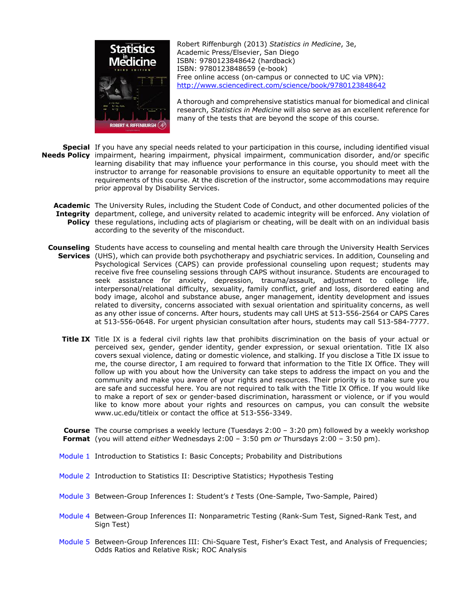

Robert Riffenburgh (2013) *Statistics in Medicine*, 3e, Academic Press/Elsevier, San Diego ISBN: 9780123848642 (hardback) ISBN: 9780123848659 (e-book) Free online access (on-campus or connected to UC via VPN): <http://www.sciencedirect.com/science/book/9780123848642>

A thorough and comprehensive statistics manual for biomedical and clinical research, *Statistics in Medicine* will also serve as an excellent reference for many of the tests that are beyond the scope of this course.

- **Special**  If you have any special needs related to your participation in this course, including identified visual **Needs Policy** impairment, hearing impairment, physical impairment, communication disorder, and/or specific learning disability that may influence your performance in this course, you should meet with the instructor to arrange for reasonable provisions to ensure an equitable opportunity to meet all the requirements of this course. At the discretion of the instructor, some accommodations may require prior approval by Disability Services.
	- **Academic**  The University Rules, including the Student Code of Conduct, and other documented policies of the **Integrity**  department, college, and university related to academic integrity will be enforced. Any violation of **Policy** these regulations, including acts of plagiarism or cheating, will be dealt with on an individual basis according to the severity of the misconduct.
	- **Counseling**  Students have access to counseling and mental health care through the University Health Services **Services** (UHS), which can provide both psychotherapy and psychiatric services. In addition, Counseling and Psychological Services (CAPS) can provide professional counseling upon request; students may receive five free counseling sessions through CAPS without insurance. Students are encouraged to seek assistance for anxiety, depression, trauma/assault, adjustment to college life, interpersonal/relational difficulty, sexuality, family conflict, grief and loss, disordered eating and body image, alcohol and substance abuse, anger management, identity development and issues related to diversity, concerns associated with sexual orientation and spirituality concerns, as well as any other issue of concerns. After hours, students may call UHS at 513-556-2564 or CAPS Cares at 513-556-0648. For urgent physician consultation after hours, students may call 513-584-7777.
		- **Title IX** Title IX is a federal civil rights law that prohibits discrimination on the basis of your actual or perceived sex, gender, gender identity, gender expression, or sexual orientation. Title IX also covers sexual violence, dating or domestic violence, and stalking. If you disclose a Title IX issue to me, the course director, I am required to forward that information to the Title IX Office. They will follow up with you about how the University can take steps to address the impact on you and the community and make you aware of your rights and resources. Their priority is to make sure you are safe and successful here. You are not required to talk with the Title IX Office. If you would like to make a report of sex or gender-based discrimination, harassment or violence, or if you would like to know more about your rights and resources on campus, you can consult the website www.uc.edu/titleix or contact the office at 513-556-3349.

**Course** The course comprises a weekly lecture (Tuesdays 2:00 – 3:20 pm) followed by a weekly workshop **Format**  (you will attend *either* Wednesdays 2:00 – 3:50 pm *or* Thursdays 2:00 – 3:50 pm).

- Module 1 Introduction to Statistics I: Basic Concepts; Probability and Distributions
- Module 2 Introduction to Statistics II: Descriptive Statistics; Hypothesis Testing
- Module 3 Between-Group Inferences I: Student's *t* Tests (One-Sample, Two-Sample, Paired)
- Module 4 Between-Group Inferences II: Nonparametric Testing (Rank-Sum Test, Signed-Rank Test, and Sign Test)
- Module 5 Between-Group Inferences III: Chi-Square Test, Fisher's Exact Test, and Analysis of Frequencies; Odds Ratios and Relative Risk; ROC Analysis